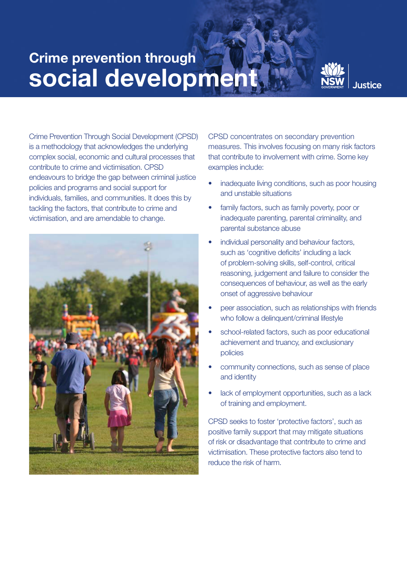## Crime prevention through social development



Crime Prevention Through Social Development (CPSD) is a methodology that acknowledges the underlying complex social, economic and cultural processes that contribute to crime and victimisation. CPSD endeavours to bridge the gap between criminal justice policies and programs and social support for individuals, families, and communities. It does this by tackling the factors, that contribute to crime and victimisation, and are amendable to change.



CPSD concentrates on secondary prevention measures. This involves focusing on many risk factors that contribute to involvement with crime. Some key examples include:

- inadequate living conditions, such as poor housing and unstable situations
- family factors, such as family poverty, poor or inadequate parenting, parental criminality, and parental substance abuse
- individual personality and behaviour factors, such as 'cognitive deficits' including a lack of problem-solving skills, self-control, critical reasoning, judgement and failure to consider the consequences of behaviour, as well as the early onset of aggressive behaviour
- peer association, such as relationships with friends who follow a delinquent/criminal lifestyle
- school-related factors, such as poor educational achievement and truancy, and exclusionary policies
- community connections, such as sense of place and identity
- lack of employment opportunities, such as a lack of training and employment.

CPSD seeks to foster 'protective factors', such as positive family support that may mitigate situations of risk or disadvantage that contribute to crime and victimisation. These protective factors also tend to reduce the risk of harm.